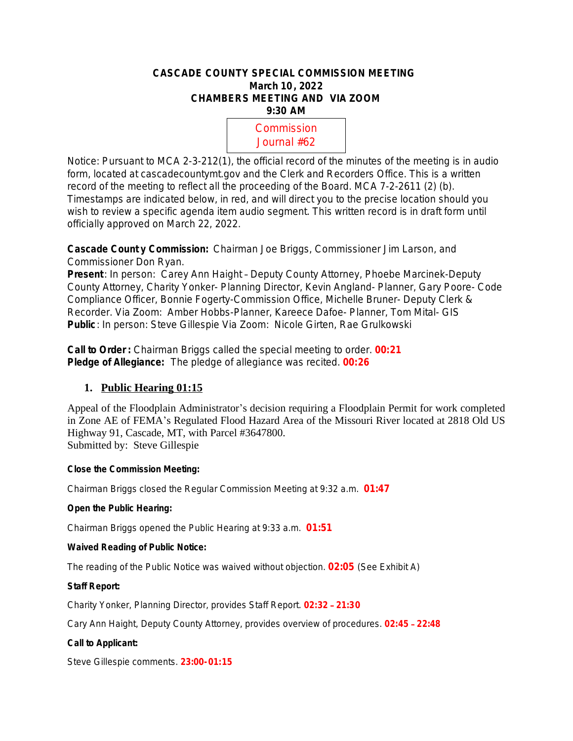# **CASCADE COUNTY SPECIAL COMMISSION MEETING March 10, 2022 CHAMBERS MEETING AND VIA ZOOM 9:30 AM**

**10:00** Commission **April** Journal #62

Notice: Pursuant to MCA 2-3-212(1), the official record of the minutes of the meeting is in audio form, located at cascadecountymt.gov and the Clerk and Recorders Office. This is a written record of the meeting to reflect all the proceeding of the Board. MCA 7-2-2611 (2) (b). Timestamps are indicated below, in red, and will direct you to the precise location should you wish to review a specific agenda item audio segment. This written record is in draft form until officially approved on March 22, 2022.

**Cascade Count y Commission:** Chairman Joe Briggs, Commissioner Jim Larson, and Commissioner Don Ryan.

**Present**: *In person:* Carey Ann Haight – Deputy County Attorney, Phoebe Marcinek-Deputy County Attorney, Charity Yonker- Planning Director, Kevin Angland- Planner, Gary Poore- Code Compliance Officer, Bonnie Fogerty-Commission Office, Michelle Bruner- Deputy Clerk & Recorder. *Via Zoom*: Amber Hobbs-Planner, Kareece Dafoe- Planner, Tom Mital- GIS **Public**: *In person:* Steve Gillespie *Via Zoom:* Nicole Girten, Rae Grulkowski

**Call to Order :** Chairman Briggs called the special meeting to order. **00:21 Pledge of Allegiance:** The pledge of allegiance was recited. **00:26**

# **1. Public Hearing 01:15**

Appeal of the Floodplain Administrator's decision requiring a Floodplain Permit for work completed in Zone AE of FEMA's Regulated Flood Hazard Area of the Missouri River located at 2818 Old US Highway 91, Cascade, MT, with Parcel #3647800. Submitted by: Steve Gillespie

# **Close the Commission Meeting:**

Chairman Briggs closed the Regular Commission Meeting at 9:32 a.m. **01:47**

## **Open the Public Hearing:**

Chairman Briggs opened the Public Hearing at 9:33 a.m. **01:51**

# **Waived Reading of Public Notice:**

The reading of the Public Notice was waived without objection. **02:05** (See Exhibit A)

## **Staff Report:**

Charity Yonker, Planning Director, provides Staff Report. **02:32** – **21:30**

Cary Ann Haight, Deputy County Attorney, provides overview of procedures. **02:45** – **22:48**

## **Call to Applicant:**

Steve Gillespie comments. **23:00-01:15**